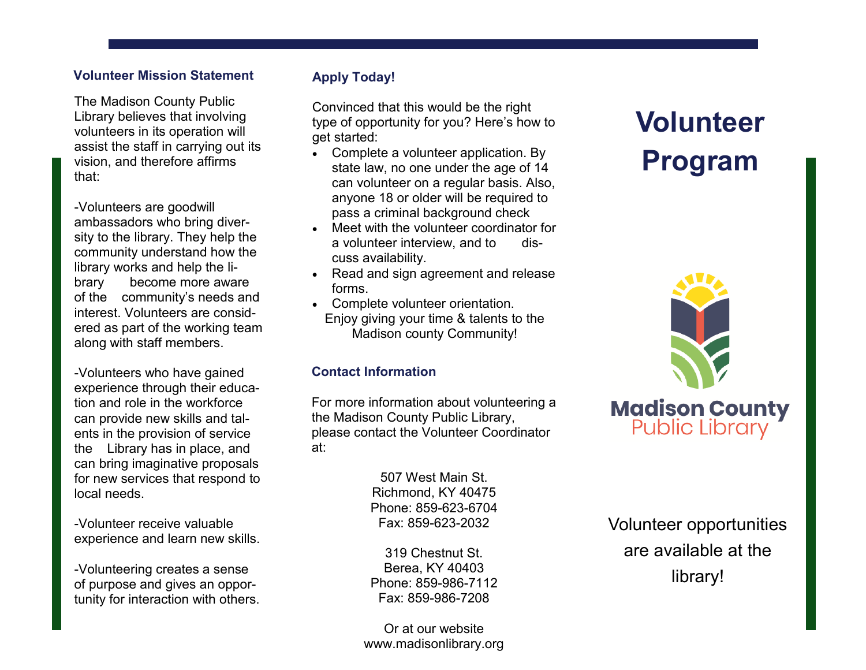#### **Volunteer Mission Statement**

The Madison County Public Library believes that involving volunteers in its operation will assist the staff in carrying out its vision, and therefore affirms that:

-Volunteers are goodwill ambassadors who bring diversity to the library. They help the community understand how the library works and help the library become more aware of the community's needs and interest. Volunteers are considered as part of the working team along with staff members.

-Volunteers who have gained experience through their education and role in the workforce can provide new skills and talents in the provision of service the Library has in place, and can bring imaginative proposals for new services that respond to local needs.

-Volunteer receive valuable experience and learn new skills.

-Volunteering creates a sense of purpose and gives an opportunity for interaction with others.

### **Apply Today!**

Convinced that this would be the right type of opportunity for you? Here's how to get started:

- Complete a volunteer application. By state law, no one under the age of 14 can volunteer on a regular basis. Also, anyone 18 or older will be required to pass a criminal background check
- Meet with the volunteer coordinator for a volunteer interview, and to discuss availability.
- Read and sign agreement and release forms.
- Complete volunteer orientation. Enjoy giving your time & talents to the Madison county Community!

### **Contact Information**

For more information about volunteering a the Madison County Public Library, please contact the Volunteer Coordinator at:

> 507 West Main St. Richmond, KY 40475 Phone: 859-623-6704 Fax: 859-623-2032

319 Chestnut St. Berea, KY 40403 Phone: 859-986-7112 Fax: 859-986-7208

Or at our website www.madisonlibrary.org

# **Volunteer Program**



Volunteer opportunities are available at the library!